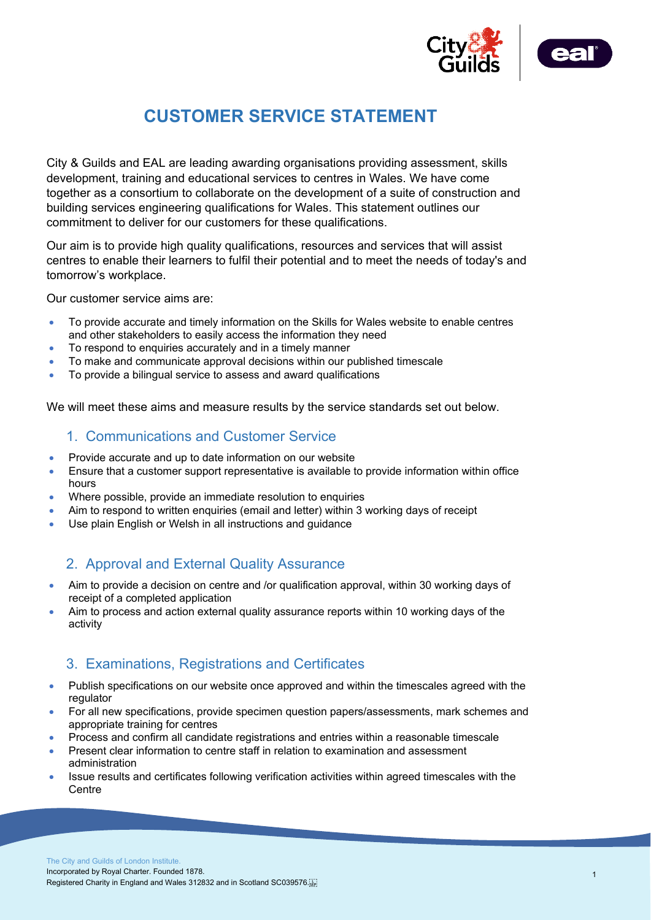



# **CUSTOMER SERVICE STATEMENT**

City & Guilds and EAL are leading awarding organisations providing assessment, skills development, training and educational services to centres in Wales. We have come together as a consortium to collaborate on the development of a suite of construction and building services engineering qualifications for Wales. This statement outlines our commitment to deliver for our customers for these qualifications.

Our aim is to provide high quality qualifications, resources and services that will assist centres to enable their learners to fulfil their potential and to meet the needs of today's and tomorrow's workplace.

Our customer service aims are:

- To provide accurate and timely information on the Skills for Wales website to enable centres and other stakeholders to easily access the information they need
- To respond to enquiries accurately and in a timely manner
- To make and communicate approval decisions within our published timescale
- To provide a bilingual service to assess and award qualifications

We will meet these aims and measure results by the service standards set out below.

#### 1. Communications and Customer Service

- Provide accurate and up to date information on our website
- Ensure that a customer support representative is available to provide information within office hours
- Where possible, provide an immediate resolution to enquiries
- Aim to respond to written enquiries (email and letter) within 3 working days of receipt
- Use plain English or Welsh in all instructions and guidance

## 2. Approval and External Quality Assurance

- Aim to provide a decision on centre and /or qualification approval, within 30 working days of receipt of a completed application
- Aim to process and action external quality assurance reports within 10 working days of the activity

## 3. Examinations, Registrations and Certificates

- Publish specifications on our website once approved and within the timescales agreed with the regulator
- For all new specifications, provide specimen question papers/assessments, mark schemes and appropriate training for centres
- Process and confirm all candidate registrations and entries within a reasonable timescale
- Present clear information to centre staff in relation to examination and assessment administration
- Issue results and certificates following verification activities within agreed timescales with the **Centre**